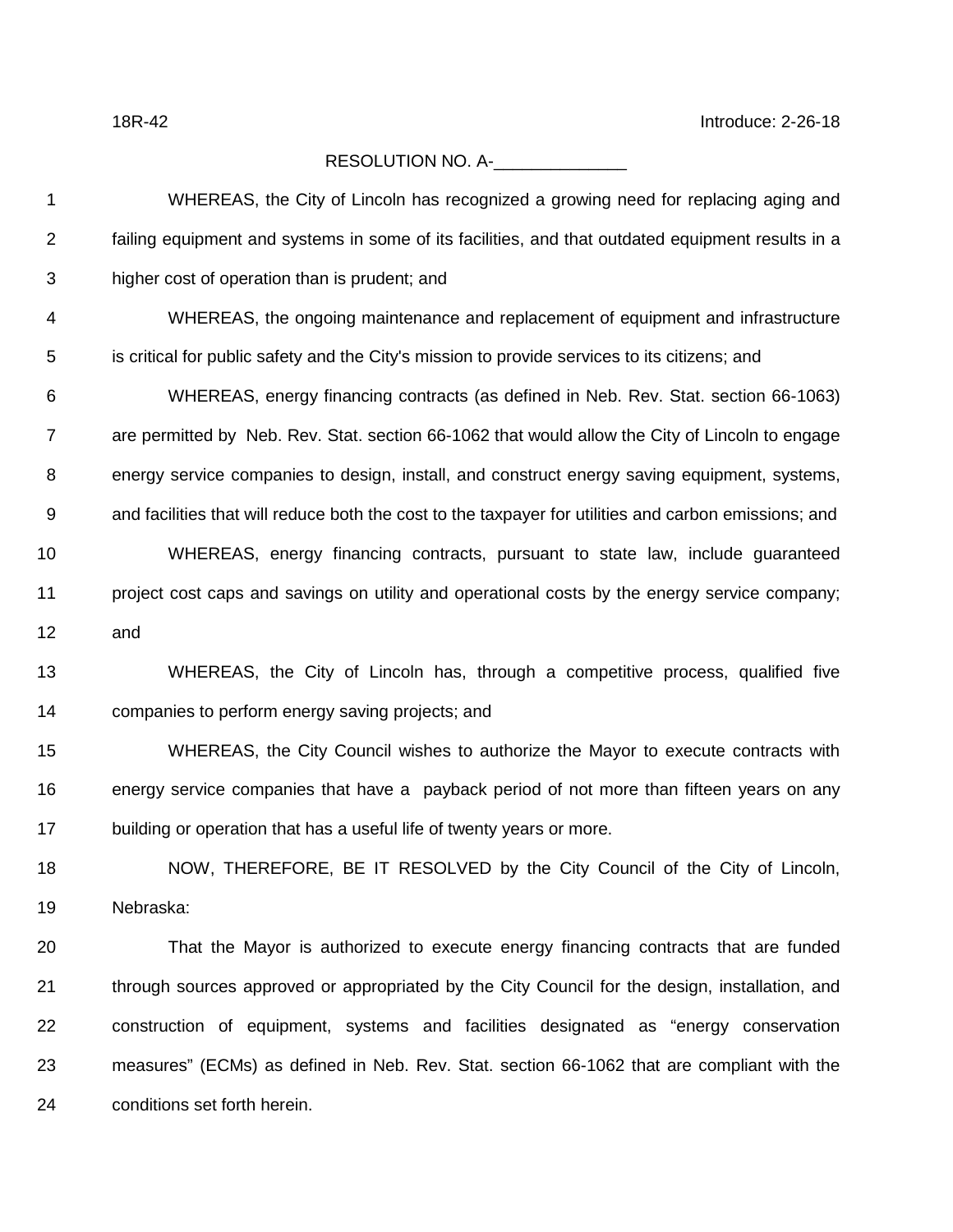18R-42 Introduce: 2-26-18

## RESOLUTION NO. A-

 WHEREAS, the City of Lincoln has recognized a growing need for replacing aging and failing equipment and systems in some of its facilities, and that outdated equipment results in a higher cost of operation than is prudent; and WHEREAS, the ongoing maintenance and replacement of equipment and infrastructure is critical for public safety and the City's mission to provide services to its citizens; and WHEREAS, energy financing contracts (as defined in Neb. Rev. Stat. section 66-1063) are permitted by Neb. Rev. Stat. section 66-1062 that would allow the City of Lincoln to engage energy service companies to design, install, and construct energy saving equipment, systems, and facilities that will reduce both the cost to the taxpayer for utilities and carbon emissions; and WHEREAS, energy financing contracts, pursuant to state law, include guaranteed project cost caps and savings on utility and operational costs by the energy service company; and WHEREAS, the City of Lincoln has, through a competitive process, qualified five companies to perform energy saving projects; and WHEREAS, the City Council wishes to authorize the Mayor to execute contracts with energy service companies that have a payback period of not more than fifteen years on any 17 building or operation that has a useful life of twenty years or more. NOW, THEREFORE, BE IT RESOLVED by the City Council of the City of Lincoln, Nebraska: That the Mayor is authorized to execute energy financing contracts that are funded 21 through sources approved or appropriated by the City Council for the design, installation, and construction of equipment, systems and facilities designated as "energy conservation measures" (ECMs) as defined in Neb. Rev. Stat. section 66-1062 that are compliant with the conditions set forth herein.